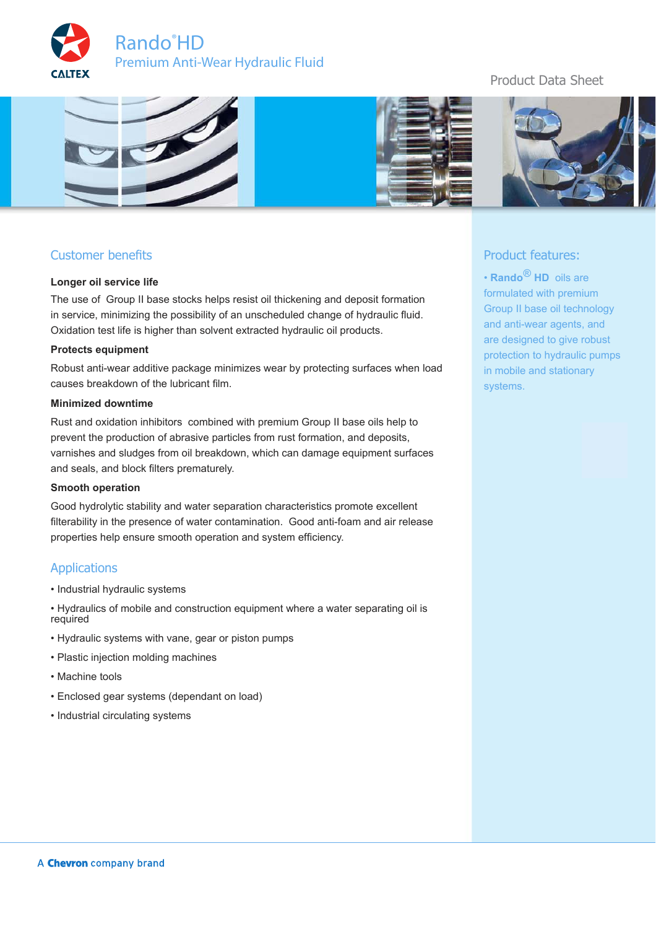



# Customer benefits

#### **Longer oil service life**

The use of Group II base stocks helps resist oil thickening and deposit formation in service, minimizing the possibility of an unscheduled change of hydraulic fluid. Oxidation test life is higher than solvent extracted hydraulic oil products.

#### **Protects equipment**

Robust anti-wear additive package minimizes wear by protecting surfaces when load causes breakdown of the lubricant film.

### **Minimized downtime**

Rust and oxidation inhibitors combined with premium Group II base oils help to prevent the production of abrasive particles from rust formation, and deposits, varnishes and sludges from oil breakdown, which can damage equipment surfaces and seals, and block filters prematurely.

### **Smooth operation**

Good hydrolytic stability and water separation characteristics promote excellent filterability in the presence of water contamination. Good anti-foam and air release properties help ensure smooth operation and system efficiency.

## **Applications**

- Industrial hydraulic systems
- Hydraulics of mobile and construction equipment where a water separating oil is required
- Hydraulic systems with vane, gear or piston pumps
- Plastic injection molding machines
- Machine tools
- Enclosed gear systems (dependant on load)
- Industrial circulating systems

# Product Data Sheet



# Product features:

• **Rando** ® **HD** oils are formulated with premium Group II base oil technology and anti-wear agents, and are designed to give robust protection to hydraulic pumps in mobile and stationary systems.